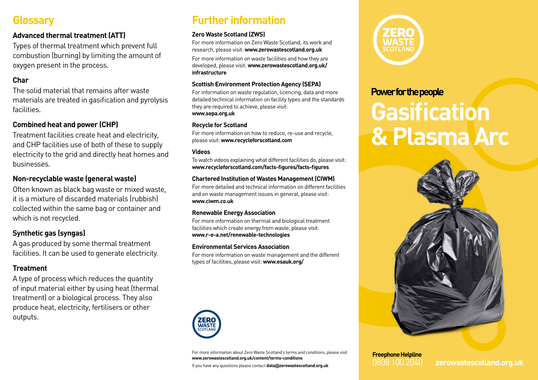# **Glossary**

### **Advanced thermal treatment (ATT)**

Types of thermal treatment which prevent full combustion (burning) by limiting the amount of oxygen present in the process.

### **Char**

The solid material that remains after waste materials are treated in gasification and pyrolysis facilities.

### **Combined heat and power (CHP)**

Treatment facilities create heat and electricity, and CHP facilities use of both of these to supply electricity to the grid and directly heat homes and businesses.

#### **Non-recyclable waste (general waste)**

Often known as black bag waste or mixed waste, it is a mixture of discarded materials (rubbish) collected within the same bag or container and which is not recycled.

### **Synthetic gas (syngas)**

A gas produced by some thermal treatment facilities. It can be used to generate electricity.

### **Treatment**

A type of process which reduces the quantity of input material either by using heat (thermal treatment) or a biological process. They also produce heat, electricity, fertilisers or other outputs.

# **Further information**

#### **Zero Waste Scotland (ZWS)**

For more information on Zero Waste Scotland, its work and research, please visit: **www.zerowastescotland.org.uk**

For more information on waste facilities and how they are developed, please visit: **www.zerowastescotland.org.uk/ infrastructure**

#### **Scottish Environment Protection Agency (SEPA)**

For information on waste regulation, licencing, data and more detailed technical information on facility types and the standards they are required to achieve, please visit: **www.sepa.org.uk**

#### **Recycle for Scotland**

For more information on how to reduce, re-use and recycle, please visit: **www.recycleforscotland.com** 

#### **Videos**

To watch videos explaining what different facilities do, please visit: **www.recycleforscotland.com/facts-figures/facts-figures**

#### **Chartered Institution of Wastes Management (CIWM)**

For more detailed and technical information on different facilities and on waste management issues in general, please visit: **www.ciwm.co.uk**

#### **Renewable Energy Association**

For more information on thermal and biological treatment facilities which create energy from waste, please visit: **www.r-e-a.net/renewable-technologies**

#### **Environmental Services Association**

For more information on waste management and the different types of facilities, please visit: **www.esauk.org/**



For more information about Zero Waste Scotland's terms and conditions, please visit **www.zerowastescotland.org.uk/content/terms-conditions**

If you have any questions please contact **data@zerowastescotland.org.uk**



## **Power for the people**

# **Gasification & Plasma Arc**



# **Freephone Helpline**

0808 100 2040 **zerowastescotland.org.uk**